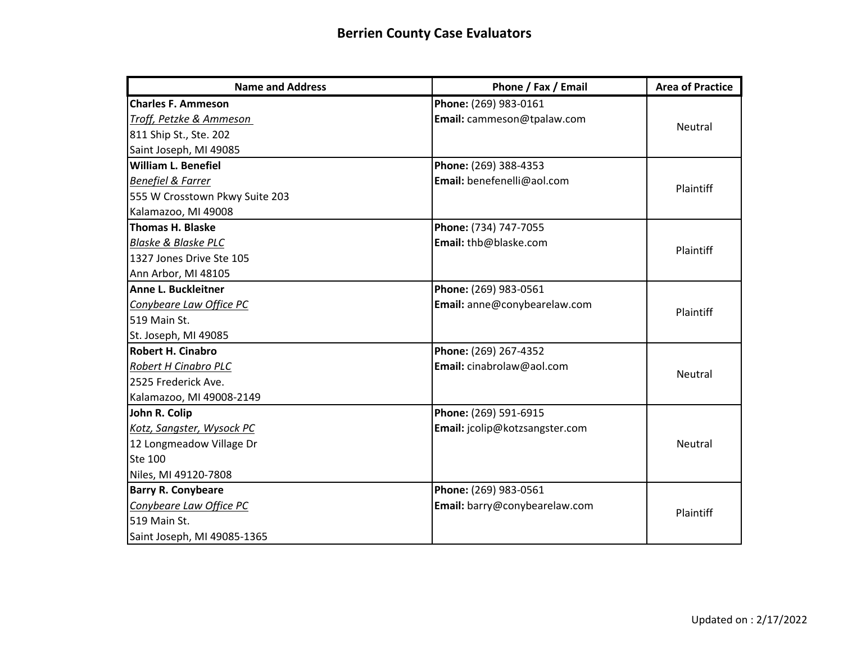| <b>Name and Address</b>        | Phone / Fax / Email            | <b>Area of Practice</b> |
|--------------------------------|--------------------------------|-------------------------|
| <b>Charles F. Ammeson</b>      | Phone: (269) 983-0161          |                         |
| Troff, Petzke & Ammeson        | Email: cammeson@tpalaw.com     | Neutral                 |
| 811 Ship St., Ste. 202         |                                |                         |
| Saint Joseph, MI 49085         |                                |                         |
| <b>William L. Benefiel</b>     | Phone: (269) 388-4353          |                         |
| <b>Benefiel &amp; Farrer</b>   | Email: benefenelli@aol.com     | Plaintiff               |
| 555 W Crosstown Pkwy Suite 203 |                                |                         |
| Kalamazoo, MI 49008            |                                |                         |
| <b>Thomas H. Blaske</b>        | Phone: (734) 747-7055          |                         |
| <b>Blaske &amp; Blaske PLC</b> | Email: thb@blaske.com          | Plaintiff               |
| 1327 Jones Drive Ste 105       |                                |                         |
| Ann Arbor, MI 48105            |                                |                         |
| Anne L. Buckleitner            | Phone: (269) 983-0561          |                         |
| Conybeare Law Office PC        | Email: anne@conybearelaw.com   | Plaintiff               |
| 519 Main St.                   |                                |                         |
| St. Joseph, MI 49085           |                                |                         |
| <b>Robert H. Cinabro</b>       | Phone: (269) 267-4352          |                         |
| <b>Robert H Cinabro PLC</b>    | Email: cinabrolaw@aol.com      | <b>Neutral</b>          |
| 2525 Frederick Ave.            |                                |                         |
| Kalamazoo, MI 49008-2149       |                                |                         |
| John R. Colip                  | Phone: (269) 591-6915          |                         |
| Kotz, Sangster, Wysock PC      | Email: jcolip@kotzsangster.com |                         |
| 12 Longmeadow Village Dr       |                                | <b>Neutral</b>          |
| <b>Ste 100</b>                 |                                |                         |
| Niles, MI 49120-7808           |                                |                         |
| <b>Barry R. Conybeare</b>      | Phone: (269) 983-0561          |                         |
| Conybeare Law Office PC        | Email: barry@conybearelaw.com  | Plaintiff               |
| 519 Main St.                   |                                |                         |
| Saint Joseph, MI 49085-1365    |                                |                         |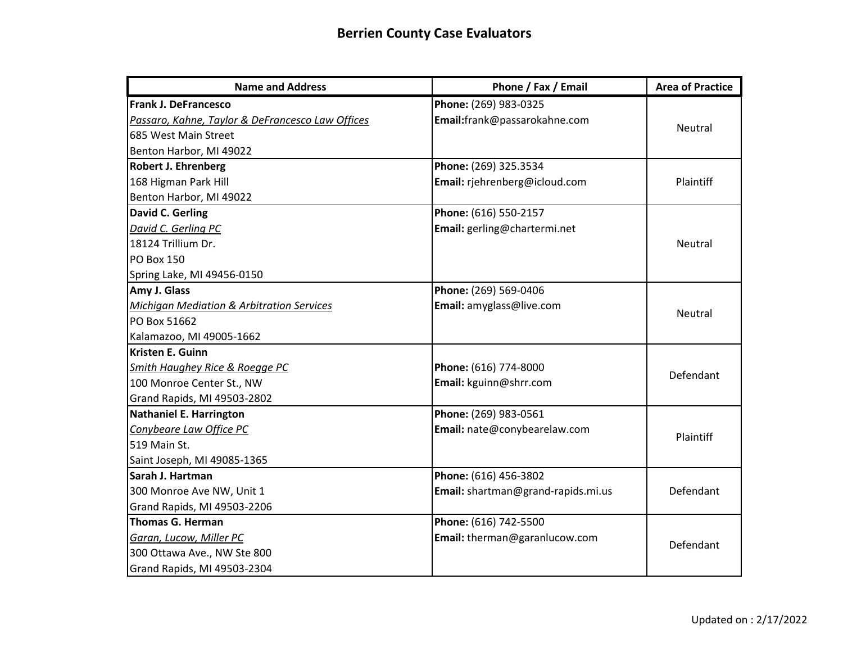| <b>Name and Address</b>                              | Phone / Fax / Email                | <b>Area of Practice</b> |
|------------------------------------------------------|------------------------------------|-------------------------|
| <b>Frank J. DeFrancesco</b>                          | Phone: (269) 983-0325              |                         |
| Passaro, Kahne, Taylor & DeFrancesco Law Offices     | Email:frank@passarokahne.com       | Neutral                 |
| 685 West Main Street                                 |                                    |                         |
| Benton Harbor, MI 49022                              |                                    |                         |
| <b>Robert J. Ehrenberg</b>                           | Phone: (269) 325.3534              |                         |
| 168 Higman Park Hill                                 | Email: rjehrenberg@icloud.com      | Plaintiff               |
| Benton Harbor, MI 49022                              |                                    |                         |
| David C. Gerling                                     | Phone: (616) 550-2157              |                         |
| David C. Gerling PC                                  | Email: gerling@chartermi.net       |                         |
| 18124 Trillium Dr.                                   |                                    | Neutral                 |
| <b>PO Box 150</b>                                    |                                    |                         |
| Spring Lake, MI 49456-0150                           |                                    |                         |
| Amy J. Glass                                         | Phone: (269) 569-0406              |                         |
| <b>Michigan Mediation &amp; Arbitration Services</b> | Email: amyglass@live.com           | <b>Neutral</b>          |
| PO Box 51662                                         |                                    |                         |
| Kalamazoo, MI 49005-1662                             |                                    |                         |
| Kristen E. Guinn                                     |                                    |                         |
| <b>Smith Haughey Rice &amp; Roegge PC</b>            | Phone: (616) 774-8000              | Defendant               |
| 100 Monroe Center St., NW                            | Email: kguinn@shrr.com             |                         |
| Grand Rapids, MI 49503-2802                          |                                    |                         |
| <b>Nathaniel E. Harrington</b>                       | Phone: (269) 983-0561              |                         |
| Conybeare Law Office PC                              | Email: nate@conybearelaw.com       | Plaintiff               |
| 519 Main St.                                         |                                    |                         |
| Saint Joseph, MI 49085-1365                          |                                    |                         |
| Sarah J. Hartman                                     | Phone: (616) 456-3802              |                         |
| 300 Monroe Ave NW, Unit 1                            | Email: shartman@grand-rapids.mi.us | Defendant               |
| Grand Rapids, MI 49503-2206                          |                                    |                         |
| <b>Thomas G. Herman</b>                              | Phone: (616) 742-5500              |                         |
| Garan, Lucow, Miller PC                              | Email: therman@garanlucow.com      | Defendant               |
| 300 Ottawa Ave., NW Ste 800                          |                                    |                         |
| Grand Rapids, MI 49503-2304                          |                                    |                         |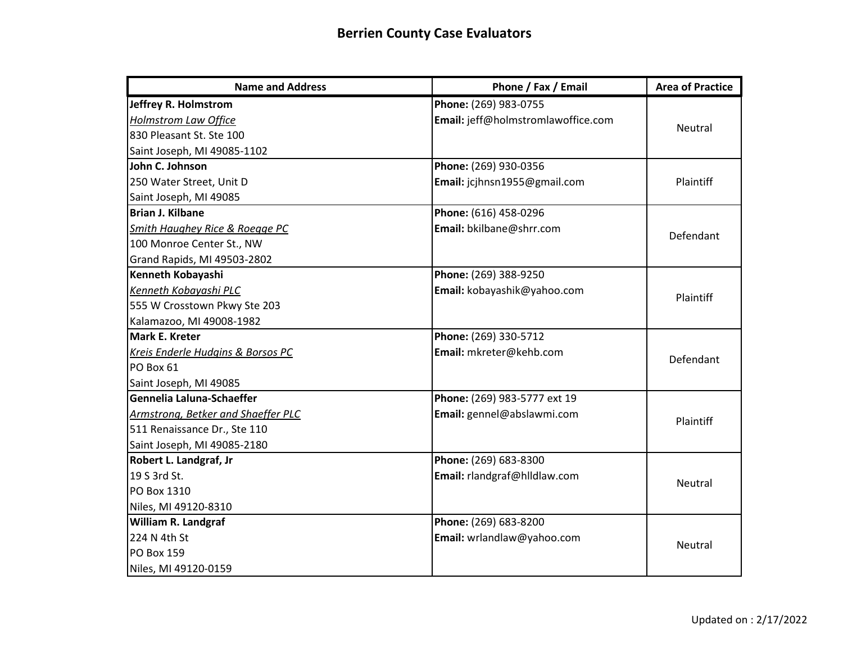| <b>Name and Address</b>                   | Phone / Fax / Email                | <b>Area of Practice</b> |
|-------------------------------------------|------------------------------------|-------------------------|
| Jeffrey R. Holmstrom                      | Phone: (269) 983-0755              |                         |
| <b>Holmstrom Law Office</b>               | Email: jeff@holmstromlawoffice.com | Neutral                 |
| 830 Pleasant St. Ste 100                  |                                    |                         |
| Saint Joseph, MI 49085-1102               |                                    |                         |
| John C. Johnson                           | Phone: (269) 930-0356              |                         |
| 250 Water Street, Unit D                  | Email: jcjhnsn1955@gmail.com       | Plaintiff               |
| Saint Joseph, MI 49085                    |                                    |                         |
| Brian J. Kilbane                          | Phone: (616) 458-0296              |                         |
| <b>Smith Haughey Rice &amp; Roegge PC</b> | Email: bkilbane@shrr.com           | Defendant               |
| 100 Monroe Center St., NW                 |                                    |                         |
| Grand Rapids, MI 49503-2802               |                                    |                         |
| Kenneth Kobayashi                         | Phone: (269) 388-9250              |                         |
| Kenneth Kobayashi PLC                     | Email: kobayashik@yahoo.com        | Plaintiff               |
| 555 W Crosstown Pkwy Ste 203              |                                    |                         |
| Kalamazoo, MI 49008-1982                  |                                    |                         |
| <b>Mark E. Kreter</b>                     | Phone: (269) 330-5712              |                         |
| Kreis Enderle Hudgins & Borsos PC         | Email: mkreter@kehb.com            | Defendant               |
| PO Box 61                                 |                                    |                         |
| Saint Joseph, MI 49085                    |                                    |                         |
| Gennelia Laluna-Schaeffer                 | Phone: (269) 983-5777 ext 19       |                         |
| Armstrong, Betker and Shaeffer PLC        | Email: gennel@abslawmi.com         | Plaintiff               |
| 511 Renaissance Dr., Ste 110              |                                    |                         |
| Saint Joseph, MI 49085-2180               |                                    |                         |
| Robert L. Landgraf, Jr                    | Phone: (269) 683-8300              |                         |
| 19 S 3rd St.                              | Email: rlandgraf@hlldlaw.com       | Neutral                 |
| PO Box 1310                               |                                    |                         |
| Niles, MI 49120-8310                      |                                    |                         |
| <b>William R. Landgraf</b>                | Phone: (269) 683-8200              |                         |
| 224 N 4th St                              | Email: wrlandlaw@yahoo.com         | Neutral                 |
| <b>PO Box 159</b>                         |                                    |                         |
| Niles, MI 49120-0159                      |                                    |                         |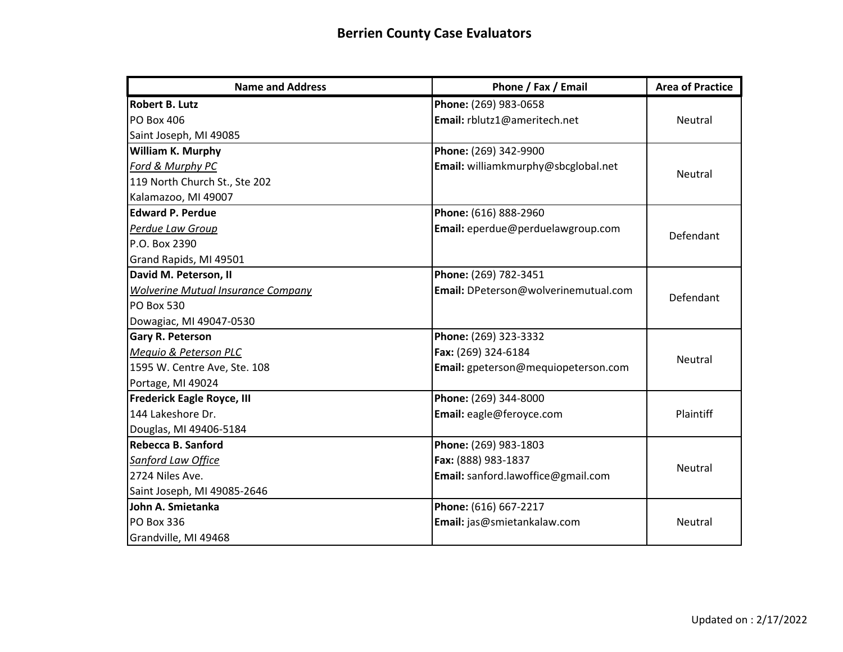| <b>Name and Address</b>                   | Phone / Fax / Email                  | <b>Area of Practice</b> |
|-------------------------------------------|--------------------------------------|-------------------------|
| <b>Robert B. Lutz</b>                     | Phone: (269) 983-0658                |                         |
| <b>PO Box 406</b>                         | Email: rblutz1@ameritech.net         | <b>Neutral</b>          |
| Saint Joseph, MI 49085                    |                                      |                         |
| William K. Murphy                         | Phone: (269) 342-9900                |                         |
| Ford & Murphy PC                          | Email: williamkmurphy@sbcglobal.net  | Neutral                 |
| 119 North Church St., Ste 202             |                                      |                         |
| Kalamazoo, MI 49007                       |                                      |                         |
| <b>Edward P. Perdue</b>                   | Phone: (616) 888-2960                |                         |
| Perdue Law Group                          | Email: eperdue@perduelawgroup.com    | Defendant               |
| P.O. Box 2390                             |                                      |                         |
| Grand Rapids, MI 49501                    |                                      |                         |
| David M. Peterson, II                     | Phone: (269) 782-3451                |                         |
| <b>Wolverine Mutual Insurance Company</b> | Email: DPeterson@wolverinemutual.com | Defendant               |
| <b>PO Box 530</b>                         |                                      |                         |
| Dowagiac, MI 49047-0530                   |                                      |                         |
| <b>Gary R. Peterson</b>                   | Phone: (269) 323-3332                |                         |
| Mequio & Peterson PLC                     | Fax: (269) 324-6184                  | Neutral                 |
| 1595 W. Centre Ave, Ste. 108              | Email: gpeterson@mequiopeterson.com  |                         |
| Portage, MI 49024                         |                                      |                         |
| <b>Frederick Eagle Royce, III</b>         | Phone: (269) 344-8000                |                         |
| 144 Lakeshore Dr.                         | Email: eagle@feroyce.com             | Plaintiff               |
| Douglas, MI 49406-5184                    |                                      |                         |
| Rebecca B. Sanford                        | Phone: (269) 983-1803                |                         |
| Sanford Law Office                        | Fax: (888) 983-1837                  | Neutral                 |
| 2724 Niles Ave.                           | Email: sanford.lawoffice@gmail.com   |                         |
| Saint Joseph, MI 49085-2646               |                                      |                         |
| John A. Smietanka                         | Phone: (616) 667-2217                |                         |
| <b>PO Box 336</b>                         | Email: jas@smietankalaw.com          | Neutral                 |
| Grandville, MI 49468                      |                                      |                         |